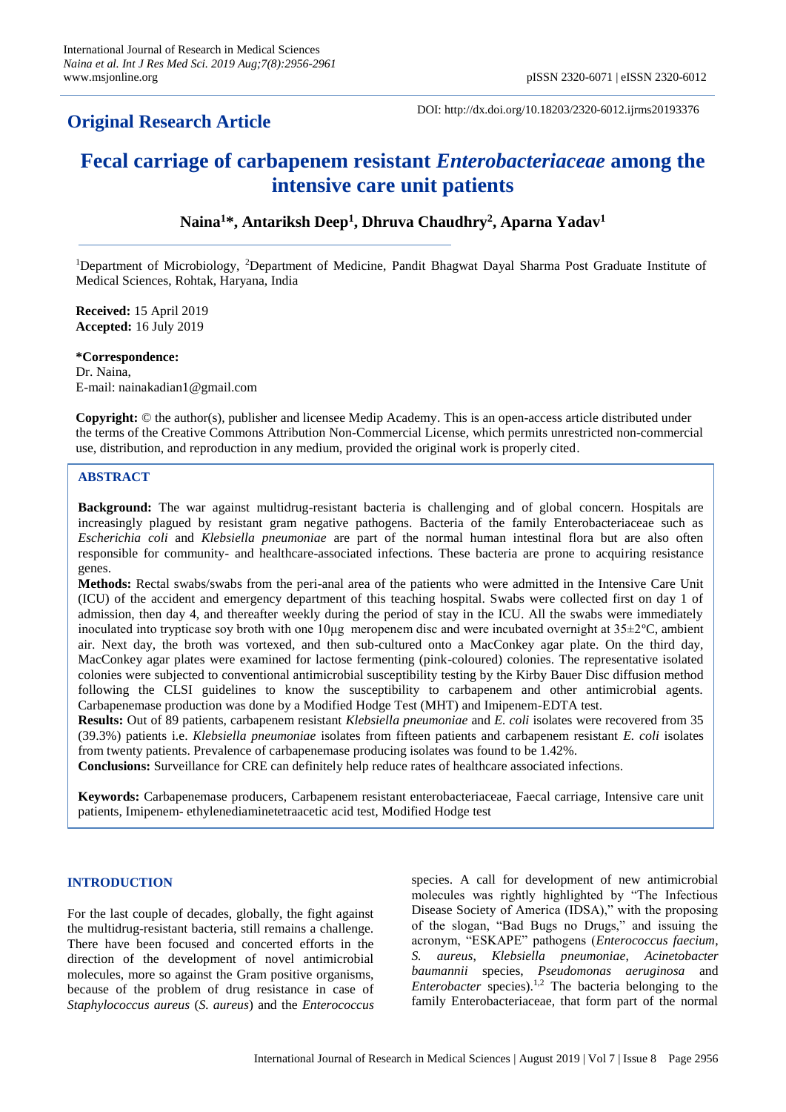# **Original Research Article**

DOI: http://dx.doi.org/10.18203/2320-6012.ijrms20193376

# **Fecal carriage of carbapenem resistant** *Enterobacteriaceae* **among the intensive care unit patients**

**Naina<sup>1</sup>\*, Antariksh Deep<sup>1</sup> , Dhruva Chaudhry<sup>2</sup> , Aparna Yadav<sup>1</sup>**

<sup>1</sup>Department of Microbiology, <sup>2</sup>Department of Medicine, Pandit Bhagwat Dayal Sharma Post Graduate Institute of Medical Sciences, Rohtak, Haryana, India

**Received:** 15 April 2019 **Accepted:** 16 July 2019

**\*Correspondence:** Dr. Naina, E-mail: nainakadian1@gmail.com

**Copyright:** © the author(s), publisher and licensee Medip Academy. This is an open-access article distributed under the terms of the Creative Commons Attribution Non-Commercial License, which permits unrestricted non-commercial use, distribution, and reproduction in any medium, provided the original work is properly cited.

# **ABSTRACT**

**Background:** The war against multidrug-resistant bacteria is challenging and of global concern. Hospitals are increasingly plagued by resistant gram negative pathogens. Bacteria of the family Enterobacteriaceae such as *Escherichia coli* and *Klebsiella pneumoniae* are part of the normal human intestinal flora but are also often responsible for community- and healthcare-associated infections. These bacteria are prone to acquiring resistance genes.

**Methods:** Rectal swabs/swabs from the peri-anal area of the patients who were admitted in the Intensive Care Unit (ICU) of the accident and emergency department of this teaching hospital. Swabs were collected first on day 1 of admission, then day 4, and thereafter weekly during the period of stay in the ICU. All the swabs were immediately inoculated into trypticase soy broth with one 10μg meropenem disc and were incubated overnight at 35±2ºC, ambient air. Next day, the broth was vortexed, and then sub-cultured onto a MacConkey agar plate. On the third day, MacConkey agar plates were examined for lactose fermenting (pink-coloured) colonies. The representative isolated colonies were subjected to conventional antimicrobial susceptibility testing by the Kirby Bauer Disc diffusion method following the CLSI guidelines to know the susceptibility to carbapenem and other antimicrobial agents. Carbapenemase production was done by a Modified Hodge Test (MHT) and Imipenem-EDTA test.

**Results:** Out of 89 patients, carbapenem resistant *Klebsiella pneumoniae* and *E. coli* isolates were recovered from 35 (39.3%) patients i.e. *Klebsiella pneumoniae* isolates from fifteen patients and carbapenem resistant *E. coli* isolates from twenty patients. Prevalence of carbapenemase producing isolates was found to be 1.42%.

**Conclusions:** Surveillance for CRE can definitely help reduce rates of healthcare associated infections.

**Keywords:** Carbapenemase producers, Carbapenem resistant enterobacteriaceae, Faecal carriage, Intensive care unit patients, Imipenem- ethylenediaminetetraacetic acid test, Modified Hodge test

# **INTRODUCTION**

For the last couple of decades, globally, the fight against the multidrug-resistant bacteria, still remains a challenge. There have been focused and concerted efforts in the direction of the development of novel antimicrobial molecules, more so against the Gram positive organisms, because of the problem of drug resistance in case of *Staphylococcus aureus* (*S. aureus*) and the *Enterococcus* species. A call for development of new antimicrobial molecules was rightly highlighted by "The Infectious Disease Society of America (IDSA)," with the proposing of the slogan, "Bad Bugs no Drugs," and issuing the acronym, "ESKAPE" pathogens (*Enterococcus faecium*, *S. aureus*, *Klebsiella pneumoniae*, *Acinetobacter baumannii* species, *Pseudomonas aeruginosa* and *Enterobacter* species).<sup>1,2</sup> The bacteria belonging to the family Enterobacteriaceae, that form part of the normal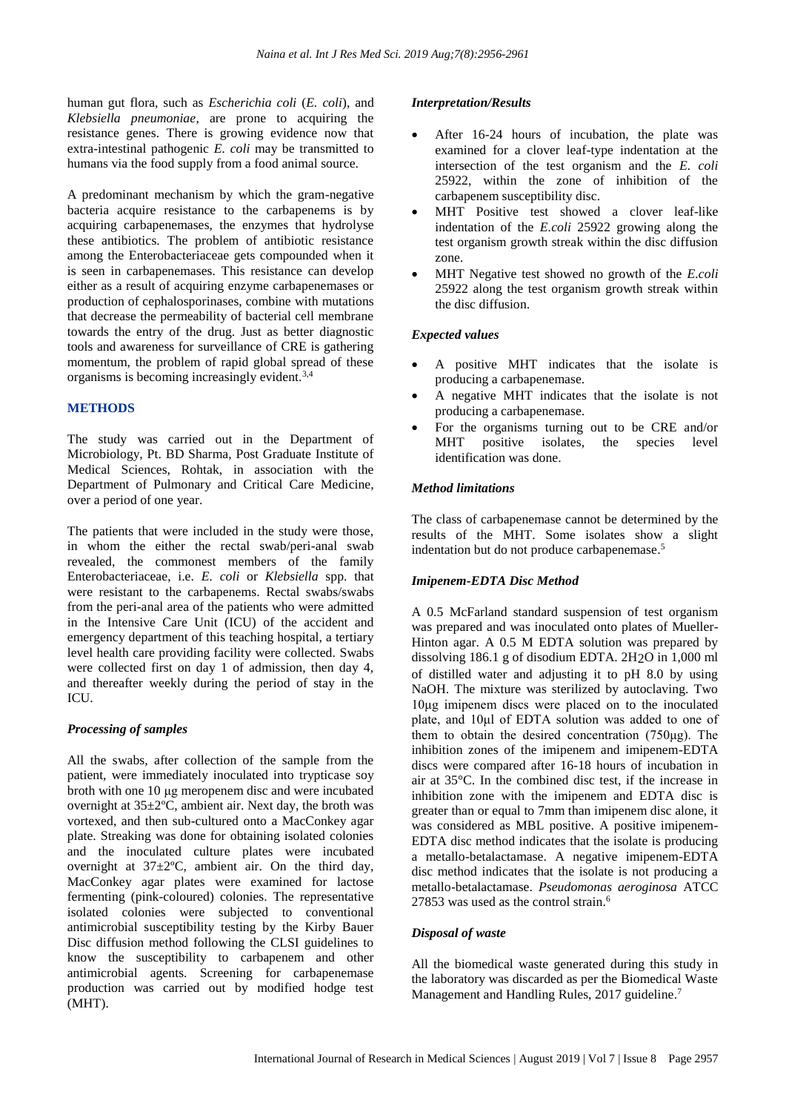human gut flora, such as *Escherichia coli* (*E. coli*), and *Klebsiella pneumoniae*, are prone to acquiring the resistance genes. There is growing evidence now that extra-intestinal pathogenic *E. coli* may be transmitted to humans via the food supply from a food animal source.

A predominant mechanism by which the gram-negative bacteria acquire resistance to the carbapenems is by acquiring carbapenemases, the enzymes that hydrolyse these antibiotics. The problem of antibiotic resistance among the Enterobacteriaceae gets compounded when it is seen in carbapenemases. This resistance can develop either as a result of acquiring enzyme carbapenemases or production of cephalosporinases, combine with mutations that decrease the permeability of bacterial cell membrane towards the entry of the drug. Just as better diagnostic tools and awareness for surveillance of CRE is gathering momentum, the problem of rapid global spread of these organisms is becoming increasingly evident.3,4

#### **METHODS**

The study was carried out in the Department of Microbiology, Pt. BD Sharma, Post Graduate Institute of Medical Sciences, Rohtak, in association with the Department of Pulmonary and Critical Care Medicine, over a period of one year.

The patients that were included in the study were those, in whom the either the rectal swab/peri-anal swab revealed, the commonest members of the family Enterobacteriaceae, i.e. *E. coli* or *Klebsiella* spp. that were resistant to the carbapenems. Rectal swabs/swabs from the peri-anal area of the patients who were admitted in the Intensive Care Unit (ICU) of the accident and emergency department of this teaching hospital, a tertiary level health care providing facility were collected. Swabs were collected first on day 1 of admission, then day 4, and thereafter weekly during the period of stay in the ICU.

#### *Processing of samples*

All the swabs, after collection of the sample from the patient, were immediately inoculated into trypticase soy broth with one 10 μg meropenem disc and were incubated overnight at 35±2ºC, ambient air. Next day, the broth was vortexed, and then sub-cultured onto a MacConkey agar plate. Streaking was done for obtaining isolated colonies and the inoculated culture plates were incubated overnight at  $37 \pm 2$ °C, ambient air. On the third day, MacConkey agar plates were examined for lactose fermenting (pink-coloured) colonies. The representative isolated colonies were subjected to conventional antimicrobial susceptibility testing by the Kirby Bauer Disc diffusion method following the CLSI guidelines to know the susceptibility to carbapenem and other antimicrobial agents. Screening for carbapenemase production was carried out by modified hodge test (MHT).

#### *Interpretation/Results*

- After 16-24 hours of incubation, the plate was examined for a clover leaf-type indentation at the intersection of the test organism and the *E. coli*  25922, within the zone of inhibition of the carbapenem susceptibility disc.
- MHT Positive test showed a clover leaf-like indentation of the *E.coli* 25922 growing along the test organism growth streak within the disc diffusion zone.
- MHT Negative test showed no growth of the *E.coli* 25922 along the test organism growth streak within the disc diffusion.

# *Expected values*

- A positive MHT indicates that the isolate is producing a carbapenemase.
- A negative MHT indicates that the isolate is not producing a carbapenemase.
- For the organisms turning out to be CRE and/or MHT positive isolates, the species level identification was done.

# *Method limitations*

The class of carbapenemase cannot be determined by the results of the MHT. Some isolates show a slight indentation but do not produce carbapenemase. 5

#### *Imipenem-EDTA Disc Method*

A 0.5 McFarland standard suspension of test organism was prepared and was inoculated onto plates of Mueller-Hinton agar. A 0.5 M EDTA solution was prepared by dissolving 186.1 g of disodium EDTA. 2H2O in 1,000 ml of distilled water and adjusting it to pH 8.0 by using NaOH. The mixture was sterilized by autoclaving. Two 10μg imipenem discs were placed on to the inoculated plate, and 10μl of EDTA solution was added to one of them to obtain the desired concentration (750μg). The inhibition zones of the imipenem and imipenem-EDTA discs were compared after 16-18 hours of incubation in air at 35°C. In the combined disc test, if the increase in inhibition zone with the imipenem and EDTA disc is greater than or equal to 7mm than imipenem disc alone, it was considered as MBL positive. A positive imipenem-EDTA disc method indicates that the isolate is producing a metallo-betalactamase. A negative imipenem-EDTA disc method indicates that the isolate is not producing a metallo-betalactamase. *Pseudomonas aeroginosa* ATCC 27853 was used as the control strain. 6

#### *Disposal of waste*

All the biomedical waste generated during this study in the laboratory was discarded as per the Biomedical Waste Management and Handling Rules, 2017 guideline.<sup>7</sup>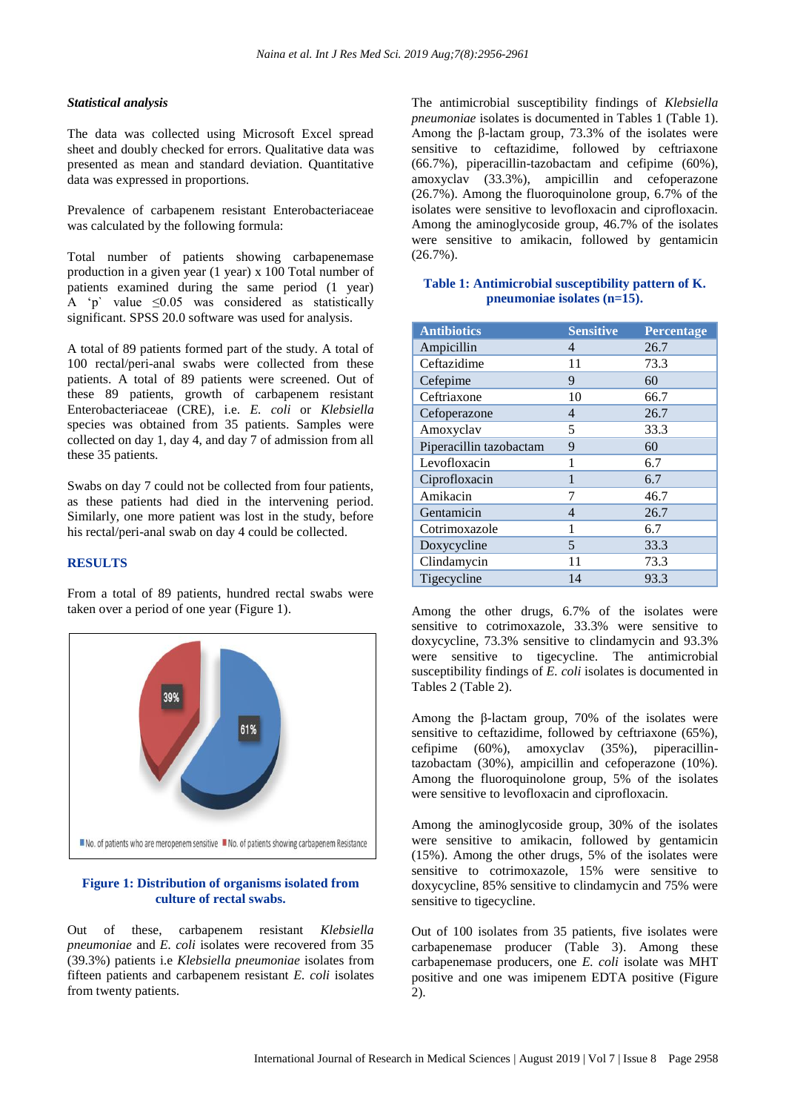#### *Statistical analysis*

The data was collected using Microsoft Excel spread sheet and doubly checked for errors. Qualitative data was presented as mean and standard deviation. Quantitative data was expressed in proportions.

Prevalence of carbapenem resistant Enterobacteriaceae was calculated by the following formula:

Total number of patients showing carbapenemase production in a given year (1 year) x 100 Total number of patients examined during the same period (1 year) A 'p' value  $\leq 0.05$  was considered as statistically significant. SPSS 20.0 software was used for analysis.

A total of 89 patients formed part of the study. A total of 100 rectal/peri-anal swabs were collected from these patients. A total of 89 patients were screened. Out of these 89 patients, growth of carbapenem resistant Enterobacteriaceae (CRE), i.e. *E. coli* or *Klebsiella* species was obtained from 35 patients. Samples were collected on day 1, day 4, and day 7 of admission from all these 35 patients.

Swabs on day 7 could not be collected from four patients, as these patients had died in the intervening period. Similarly, one more patient was lost in the study, before his rectal/peri-anal swab on day 4 could be collected.

#### **RESULTS**

From a total of 89 patients, hundred rectal swabs were taken over a period of one year (Figure 1).



# **Figure 1: Distribution of organisms isolated from culture of rectal swabs.**

Out of these, carbapenem resistant *Klebsiella pneumoniae* and *E. coli* isolates were recovered from 35 (39.3%) patients i.e *Klebsiella pneumoniae* isolates from fifteen patients and carbapenem resistant *E. coli* isolates from twenty patients.

The antimicrobial susceptibility findings of *Klebsiella pneumoniae* isolates is documented in Tables 1 (Table 1). Among the β-lactam group,  $73.3%$  of the isolates were sensitive to ceftazidime, followed by ceftriaxone (66.7%), piperacillin-tazobactam and cefipime (60%), amoxyclav (33.3%), ampicillin and cefoperazone (26.7%). Among the fluoroquinolone group, 6.7% of the isolates were sensitive to levofloxacin and ciprofloxacin. Among the aminoglycoside group, 46.7% of the isolates were sensitive to amikacin, followed by gentamicin (26.7%).

# **Table 1: Antimicrobial susceptibility pattern of K. pneumoniae isolates (n=15).**

| <b>Antibiotics</b>      | <b>Sensitive</b> | Percentage |
|-------------------------|------------------|------------|
| Ampicillin              | $\overline{4}$   | 26.7       |
| Ceftazidime             | 11               | 73.3       |
| Cefepime                | 9                | 60         |
| Ceftriaxone             | 10               | 66.7       |
| Cefoperazone            | $\overline{4}$   | 26.7       |
| Amoxyclav               | 5                | 33.3       |
| Piperacillin tazobactam | 9                | 60         |
| Levofloxacin            | 1                | 6.7        |
| Ciprofloxacin           | 1                | 6.7        |
| Amikacin                | 7                | 46.7       |
| Gentamicin              | $\overline{4}$   | 26.7       |
| Cotrimoxazole           | 1                | 6.7        |
| Doxycycline             | 5                | 33.3       |
| Clindamycin             | 11               | 73.3       |
| Tigecycline             | 14               | 93.3       |

Among the other drugs, 6.7% of the isolates were sensitive to cotrimoxazole, 33.3% were sensitive to doxycycline, 73.3% sensitive to clindamycin and 93.3% were sensitive to tigecycline. The antimicrobial susceptibility findings of *E. coli* isolates is documented in Tables 2 (Table 2).

Among the β-lactam group,  $70\%$  of the isolates were sensitive to ceftazidime, followed by ceftriaxone (65%), cefipime (60%), amoxyclav (35%), piperacillintazobactam (30%), ampicillin and cefoperazone (10%). Among the fluoroquinolone group, 5% of the isolates were sensitive to levofloxacin and ciprofloxacin.

Among the aminoglycoside group, 30% of the isolates were sensitive to amikacin, followed by gentamicin (15%). Among the other drugs, 5% of the isolates were sensitive to cotrimoxazole, 15% were sensitive to doxycycline, 85% sensitive to clindamycin and 75% were sensitive to tigecycline.

Out of 100 isolates from 35 patients, five isolates were carbapenemase producer (Table 3). Among these carbapenemase producers, one *E. coli* isolate was MHT positive and one was imipenem EDTA positive (Figure 2).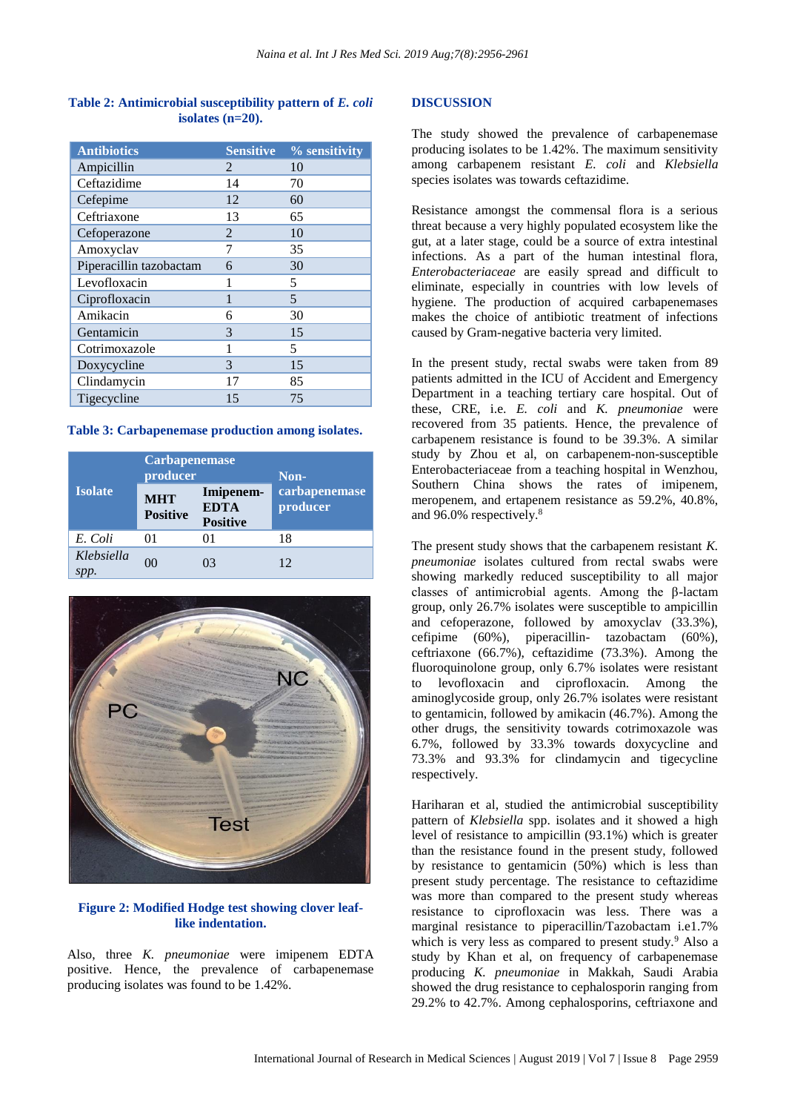# **Table 2: Antimicrobial susceptibility pattern of** *E. coli* **isolates (n=20).**

| <b>Antibiotics</b>      | <b>Sensitive</b> | % sensitivity |
|-------------------------|------------------|---------------|
| Ampicillin              | $\mathcal{L}$    | 10            |
| Ceftazidime             | 14               | 70            |
| Cefepime                | 12               | 60            |
| Ceftriaxone             | 13               | 65            |
| Cefoperazone            | 2                | 10            |
| Amoxyclav               | 7                | 35            |
| Piperacillin tazobactam | 6                | 30            |
| Levofloxacin            |                  | 5             |
| Ciprofloxacin           | 1                | 5             |
| Amikacin                | 6                | 30            |
| Gentamicin              | 3                | 15            |
| Cotrimoxazole           | 1                | 5             |
| Doxycycline             | 3                | 15            |
| Clindamycin             | 17               | 85            |
| Tigecycline             | 15               | 75            |

**Table 3: Carbapenemase production among isolates.**

|                | <b>Carbapenemase</b><br>producer |                                             | Non-                      |
|----------------|----------------------------------|---------------------------------------------|---------------------------|
| <b>Isolate</b> | <b>MHT</b><br><b>Positive</b>    | Imipenem-<br><b>EDTA</b><br><b>Positive</b> | carbapenemase<br>producer |
| E. Coli        | 01                               | 01                                          | 18                        |
| Klebsiella     | 0 <sup>0</sup>                   | 03                                          | 12                        |



# **Figure 2: Modified Hodge test showing clover leaflike indentation.**

Also, three *K. pneumoniae* were imipenem EDTA positive. Hence, the prevalence of carbapenemase producing isolates was found to be 1.42%.

# **DISCUSSION**

The study showed the prevalence of carbapenemase producing isolates to be 1.42%. The maximum sensitivity among carbapenem resistant *E. coli* and *Klebsiella* species isolates was towards ceftazidime.

Resistance amongst the commensal flora is a serious threat because a very highly populated ecosystem like the gut, at a later stage, could be a source of extra intestinal infections. As a part of the human intestinal flora, *Enterobacteriaceae* are easily spread and difficult to eliminate, especially in countries with low levels of hygiene. The production of acquired carbapenemases makes the choice of antibiotic treatment of infections caused by Gram-negative bacteria very limited.

In the present study, rectal swabs were taken from 89 patients admitted in the ICU of Accident and Emergency Department in a teaching tertiary care hospital. Out of these, CRE, i.e. *E. coli* and *K. pneumoniae* were recovered from 35 patients. Hence, the prevalence of carbapenem resistance is found to be 39.3%. A similar study by Zhou et al, on carbapenem-non-susceptible Enterobacteriaceae from a teaching hospital in Wenzhou, Southern China shows the rates of imipenem, meropenem, and ertapenem resistance as 59.2%, 40.8%, and 96.0% respectively.<sup>8</sup>

The present study shows that the carbapenem resistant *K. pneumoniae* isolates cultured from rectal swabs were showing markedly reduced susceptibility to all major classes of antimicrobial agents. Among the β-lactam group, only 26.7% isolates were susceptible to ampicillin and cefoperazone, followed by amoxyclav (33.3%), cefipime (60%), piperacillin- tazobactam (60%), ceftriaxone (66.7%), ceftazidime (73.3%). Among the fluoroquinolone group, only 6.7% isolates were resistant to levofloxacin and ciprofloxacin. Among the aminoglycoside group, only 26.7% isolates were resistant to gentamicin, followed by amikacin (46.7%). Among the other drugs, the sensitivity towards cotrimoxazole was 6.7%, followed by 33.3% towards doxycycline and 73.3% and 93.3% for clindamycin and tigecycline respectively.

Hariharan et al, studied the antimicrobial susceptibility pattern of *Klebsiella* spp. isolates and it showed a high level of resistance to ampicillin (93.1%) which is greater than the resistance found in the present study, followed by resistance to gentamicin (50%) which is less than present study percentage. The resistance to ceftazidime was more than compared to the present study whereas resistance to ciprofloxacin was less. There was a marginal resistance to piperacillin/Tazobactam i.e1.7% which is very less as compared to present study.<sup>9</sup> Also a study by Khan et al, on frequency of carbapenemase producing *K. pneumoniae* in Makkah, Saudi Arabia showed the drug resistance to cephalosporin ranging from 29.2% to 42.7%. Among cephalosporins, ceftriaxone and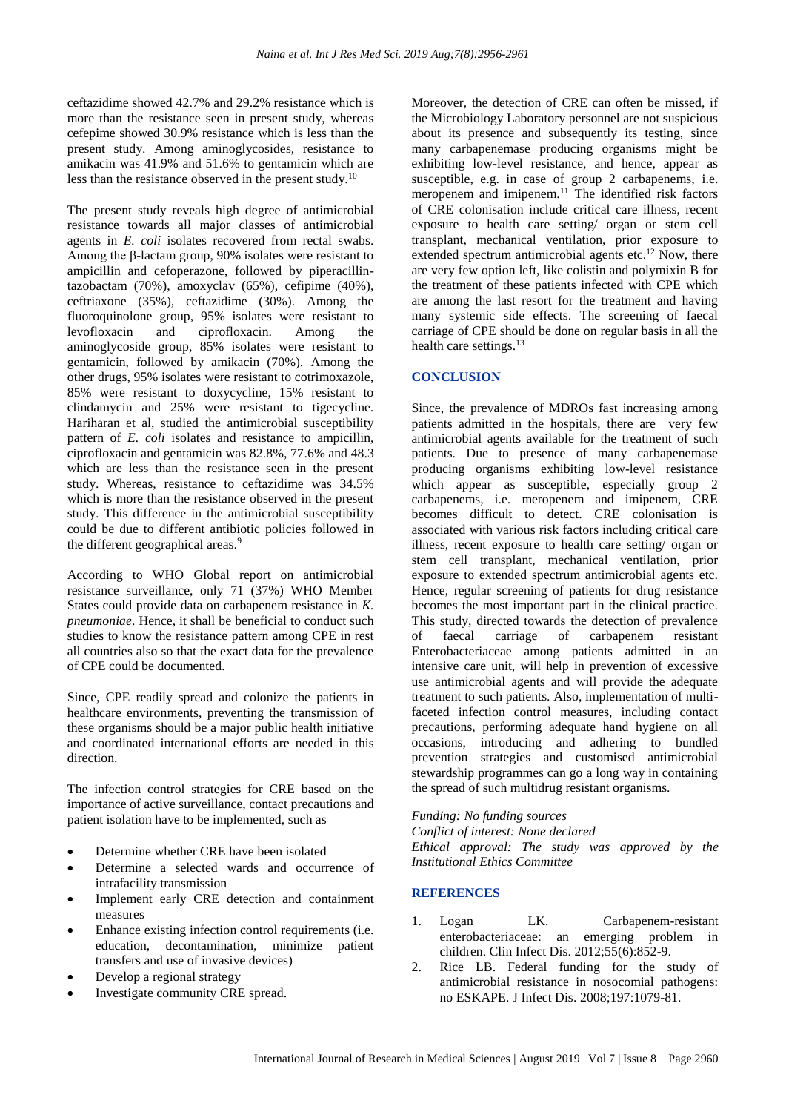ceftazidime showed 42.7% and 29.2% resistance which is more than the resistance seen in present study, whereas cefepime showed 30.9% resistance which is less than the present study. Among aminoglycosides, resistance to amikacin was 41.9% and 51.6% to gentamicin which are less than the resistance observed in the present study.<sup>10</sup>

The present study reveals high degree of antimicrobial resistance towards all major classes of antimicrobial agents in *E. coli* isolates recovered from rectal swabs. Among the β-lactam group, 90% isolates were resistant to ampicillin and cefoperazone, followed by piperacillintazobactam (70%), amoxyclav (65%), cefipime (40%), ceftriaxone (35%), ceftazidime (30%). Among the fluoroquinolone group, 95% isolates were resistant to levofloxacin and ciprofloxacin. Among the aminoglycoside group, 85% isolates were resistant to gentamicin, followed by amikacin (70%). Among the other drugs, 95% isolates were resistant to cotrimoxazole, 85% were resistant to doxycycline, 15% resistant to clindamycin and 25% were resistant to tigecycline. Hariharan et al, studied the antimicrobial susceptibility pattern of *E. coli* isolates and resistance to ampicillin, ciprofloxacin and gentamicin was 82.8%, 77.6% and 48.3 which are less than the resistance seen in the present study. Whereas, resistance to ceftazidime was 34.5% which is more than the resistance observed in the present study. This difference in the antimicrobial susceptibility could be due to different antibiotic policies followed in the different geographical areas.<sup>9</sup>

According to WHO Global report on antimicrobial resistance surveillance, only 71 (37%) WHO Member States could provide data on carbapenem resistance in *K. pneumoniae*. Hence, it shall be beneficial to conduct such studies to know the resistance pattern among CPE in rest all countries also so that the exact data for the prevalence of CPE could be documented.

Since, CPE readily spread and colonize the patients in healthcare environments, preventing the transmission of these organisms should be a major public health initiative and coordinated international efforts are needed in this direction.

The infection control strategies for CRE based on the importance of active surveillance, contact precautions and patient isolation have to be implemented, such as

- Determine whether CRE have been isolated
- Determine a selected wards and occurrence of intrafacility transmission
- Implement early CRE detection and containment measures
- Enhance existing infection control requirements (i.e. education, decontamination, minimize patient transfers and use of invasive devices)
- Develop a regional strategy
- Investigate community CRE spread.

Moreover, the detection of CRE can often be missed, if the Microbiology Laboratory personnel are not suspicious about its presence and subsequently its testing, since many carbapenemase producing organisms might be exhibiting low-level resistance, and hence, appear as susceptible, e.g. in case of group 2 carbapenems, i.e. meropenem and imipenem.<sup>11</sup> The identified risk factors of CRE colonisation include critical care illness, recent exposure to health care setting/ organ or stem cell transplant, mechanical ventilation, prior exposure to extended spectrum antimicrobial agents etc.<sup>12</sup> Now, there are very few option left, like colistin and polymixin B for the treatment of these patients infected with CPE which are among the last resort for the treatment and having many systemic side effects. The screening of faecal carriage of CPE should be done on regular basis in all the health care settings.<sup>13</sup>

# **CONCLUSION**

Since, the prevalence of MDROs fast increasing among patients admitted in the hospitals, there are very few antimicrobial agents available for the treatment of such patients. Due to presence of many carbapenemase producing organisms exhibiting low-level resistance which appear as susceptible, especially group 2 carbapenems, i.e. meropenem and imipenem, CRE becomes difficult to detect. CRE colonisation is associated with various risk factors including critical care illness, recent exposure to health care setting/ organ or stem cell transplant, mechanical ventilation, prior exposure to extended spectrum antimicrobial agents etc. Hence, regular screening of patients for drug resistance becomes the most important part in the clinical practice. This study, directed towards the detection of prevalence of faecal carriage of carbapenem resistant Enterobacteriaceae among patients admitted in an intensive care unit, will help in prevention of excessive use antimicrobial agents and will provide the adequate treatment to such patients. Also, implementation of multifaceted infection control measures, including contact precautions, performing adequate hand hygiene on all occasions, introducing and adhering to bundled prevention strategies and customised antimicrobial stewardship programmes can go a long way in containing the spread of such multidrug resistant organisms.

*Funding: No funding sources*

*Conflict of interest: None declared*

*Ethical approval: The study was approved by the Institutional Ethics Committee*

# **REFERENCES**

- 1. Logan LK. Carbapenem-resistant enterobacteriaceae: an emerging problem in children. Clin Infect Dis. 2012;55(6):852-9.
- 2. Rice LB. Federal funding for the study of antimicrobial resistance in nosocomial pathogens: no ESKAPE. J Infect Dis. 2008;197:1079-81.